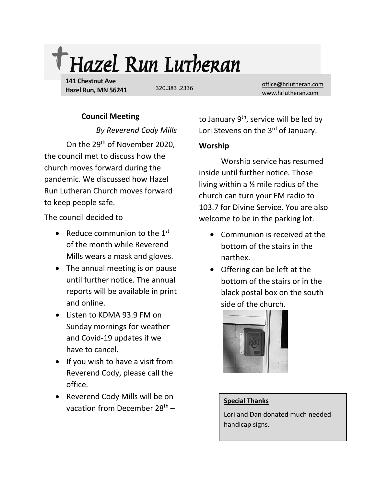

**141 Chestnut Ave Hazel Run, MN 56241**

320.383 .2336

[office@hrlutheran.com](mailto:office@hrlutheran.com) [www.hrlutheran.com](http://www.hrlutheran.com/)

## **Council Meeting**

*By Reverend Cody Mills*

On the 29th of November 2020, the council met to discuss how the church moves forward during the pandemic. We discussed how Hazel Run Lutheran Church moves forward to keep people safe.

The council decided to

- Reduce communion to the  $1<sup>st</sup>$ of the month while Reverend Mills wears a mask and gloves.
- The annual meeting is on pause until further notice. The annual reports will be available in print and online.
- Listen to KDMA 93.9 FM on Sunday mornings for weather and Covid-19 updates if we have to cancel.
- If you wish to have a visit from Reverend Cody, please call the office.
- Reverend Cody Mills will be on vacation from December  $28<sup>th</sup>$  –

to January 9<sup>th</sup>, service will be led by Lori Stevens on the 3<sup>rd</sup> of January.

# **Worship**

Worship service has resumed inside until further notice. Those living within a ½ mile radius of the church can turn your FM radio to 103.7 for Divine Service. You are also welcome to be in the parking lot.

- Communion is received at the bottom of the stairs in the narthex.
- Offering can be left at the bottom of the stairs or in the black postal box on the south side of the church.



#### **Special Thanks**

Lori and Dan donated much needed handicap signs.